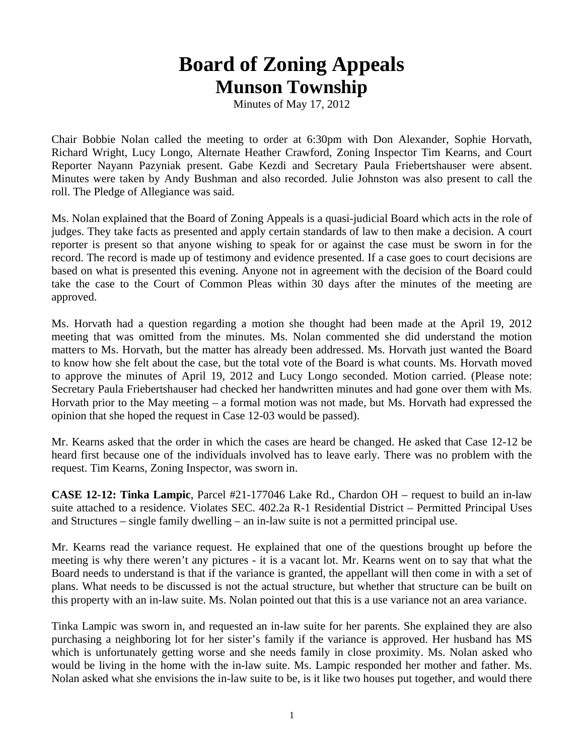## **Board of Zoning Appeals Munson Township**

Minutes of May 17, 2012

Chair Bobbie Nolan called the meeting to order at 6:30pm with Don Alexander, Sophie Horvath, Richard Wright, Lucy Longo, Alternate Heather Crawford, Zoning Inspector Tim Kearns, and Court Reporter Nayann Pazyniak present. Gabe Kezdi and Secretary Paula Friebertshauser were absent. Minutes were taken by Andy Bushman and also recorded. Julie Johnston was also present to call the roll. The Pledge of Allegiance was said.

Ms. Nolan explained that the Board of Zoning Appeals is a quasi-judicial Board which acts in the role of judges. They take facts as presented and apply certain standards of law to then make a decision. A court reporter is present so that anyone wishing to speak for or against the case must be sworn in for the record. The record is made up of testimony and evidence presented. If a case goes to court decisions are based on what is presented this evening. Anyone not in agreement with the decision of the Board could take the case to the Court of Common Pleas within 30 days after the minutes of the meeting are approved.

Ms. Horvath had a question regarding a motion she thought had been made at the April 19, 2012 meeting that was omitted from the minutes. Ms. Nolan commented she did understand the motion matters to Ms. Horvath, but the matter has already been addressed. Ms. Horvath just wanted the Board to know how she felt about the case, but the total vote of the Board is what counts. Ms. Horvath moved to approve the minutes of April 19, 2012 and Lucy Longo seconded. Motion carried. (Please note: Secretary Paula Friebertshauser had checked her handwritten minutes and had gone over them with Ms. Horvath prior to the May meeting – a formal motion was not made, but Ms. Horvath had expressed the opinion that she hoped the request in Case 12-03 would be passed).

Mr. Kearns asked that the order in which the cases are heard be changed. He asked that Case 12-12 be heard first because one of the individuals involved has to leave early. There was no problem with the request. Tim Kearns, Zoning Inspector, was sworn in.

**CASE 12-12: Tinka Lampic**, Parcel #21-177046 Lake Rd., Chardon OH – request to build an in-law suite attached to a residence. Violates SEC. 402.2a R-1 Residential District – Permitted Principal Uses and Structures – single family dwelling – an in-law suite is not a permitted principal use.

Mr. Kearns read the variance request. He explained that one of the questions brought up before the meeting is why there weren't any pictures - it is a vacant lot. Mr. Kearns went on to say that what the Board needs to understand is that if the variance is granted, the appellant will then come in with a set of plans. What needs to be discussed is not the actual structure, but whether that structure can be built on this property with an in-law suite. Ms. Nolan pointed out that this is a use variance not an area variance.

Tinka Lampic was sworn in, and requested an in-law suite for her parents. She explained they are also purchasing a neighboring lot for her sister's family if the variance is approved. Her husband has MS which is unfortunately getting worse and she needs family in close proximity. Ms. Nolan asked who would be living in the home with the in-law suite. Ms. Lampic responded her mother and father. Ms. Nolan asked what she envisions the in-law suite to be, is it like two houses put together, and would there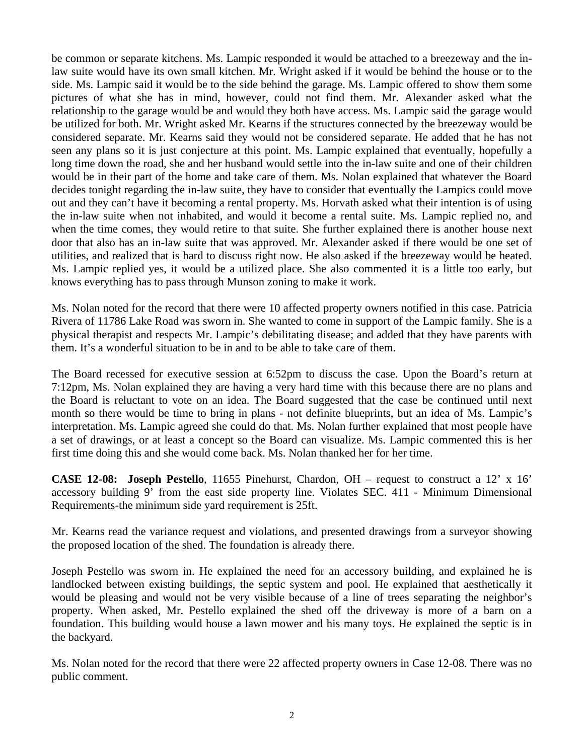be common or separate kitchens. Ms. Lampic responded it would be attached to a breezeway and the inlaw suite would have its own small kitchen. Mr. Wright asked if it would be behind the house or to the side. Ms. Lampic said it would be to the side behind the garage. Ms. Lampic offered to show them some pictures of what she has in mind, however, could not find them. Mr. Alexander asked what the relationship to the garage would be and would they both have access. Ms. Lampic said the garage would be utilized for both. Mr. Wright asked Mr. Kearns if the structures connected by the breezeway would be considered separate. Mr. Kearns said they would not be considered separate. He added that he has not seen any plans so it is just conjecture at this point. Ms. Lampic explained that eventually, hopefully a long time down the road, she and her husband would settle into the in-law suite and one of their children would be in their part of the home and take care of them. Ms. Nolan explained that whatever the Board decides tonight regarding the in-law suite, they have to consider that eventually the Lampics could move out and they can't have it becoming a rental property. Ms. Horvath asked what their intention is of using the in-law suite when not inhabited, and would it become a rental suite. Ms. Lampic replied no, and when the time comes, they would retire to that suite. She further explained there is another house next door that also has an in-law suite that was approved. Mr. Alexander asked if there would be one set of utilities, and realized that is hard to discuss right now. He also asked if the breezeway would be heated. Ms. Lampic replied yes, it would be a utilized place. She also commented it is a little too early, but knows everything has to pass through Munson zoning to make it work.

Ms. Nolan noted for the record that there were 10 affected property owners notified in this case. Patricia Rivera of 11786 Lake Road was sworn in. She wanted to come in support of the Lampic family. She is a physical therapist and respects Mr. Lampic's debilitating disease; and added that they have parents with them. It's a wonderful situation to be in and to be able to take care of them.

The Board recessed for executive session at 6:52pm to discuss the case. Upon the Board's return at 7:12pm, Ms. Nolan explained they are having a very hard time with this because there are no plans and the Board is reluctant to vote on an idea. The Board suggested that the case be continued until next month so there would be time to bring in plans - not definite blueprints, but an idea of Ms. Lampic's interpretation. Ms. Lampic agreed she could do that. Ms. Nolan further explained that most people have a set of drawings, or at least a concept so the Board can visualize. Ms. Lampic commented this is her first time doing this and she would come back. Ms. Nolan thanked her for her time.

**CASE 12-08: Joseph Pestello**, 11655 Pinehurst, Chardon, OH – request to construct a 12' x 16' accessory building 9' from the east side property line. Violates SEC. 411 - Minimum Dimensional Requirements-the minimum side yard requirement is 25ft.

Mr. Kearns read the variance request and violations, and presented drawings from a surveyor showing the proposed location of the shed. The foundation is already there.

Joseph Pestello was sworn in. He explained the need for an accessory building, and explained he is landlocked between existing buildings, the septic system and pool. He explained that aesthetically it would be pleasing and would not be very visible because of a line of trees separating the neighbor's property. When asked, Mr. Pestello explained the shed off the driveway is more of a barn on a foundation. This building would house a lawn mower and his many toys. He explained the septic is in the backyard.

Ms. Nolan noted for the record that there were 22 affected property owners in Case 12-08. There was no public comment.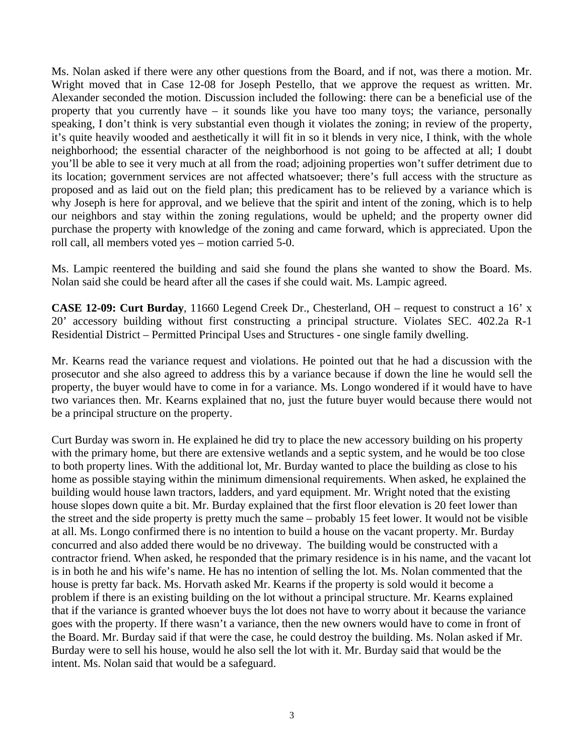Ms. Nolan asked if there were any other questions from the Board, and if not, was there a motion. Mr. Wright moved that in Case 12-08 for Joseph Pestello, that we approve the request as written. Mr. Alexander seconded the motion. Discussion included the following: there can be a beneficial use of the property that you currently have – it sounds like you have too many toys; the variance, personally speaking, I don't think is very substantial even though it violates the zoning; in review of the property, it's quite heavily wooded and aesthetically it will fit in so it blends in very nice, I think, with the whole neighborhood; the essential character of the neighborhood is not going to be affected at all; I doubt you'll be able to see it very much at all from the road; adjoining properties won't suffer detriment due to its location; government services are not affected whatsoever; there's full access with the structure as proposed and as laid out on the field plan; this predicament has to be relieved by a variance which is why Joseph is here for approval, and we believe that the spirit and intent of the zoning, which is to help our neighbors and stay within the zoning regulations, would be upheld; and the property owner did purchase the property with knowledge of the zoning and came forward, which is appreciated. Upon the roll call, all members voted yes – motion carried 5-0.

Ms. Lampic reentered the building and said she found the plans she wanted to show the Board. Ms. Nolan said she could be heard after all the cases if she could wait. Ms. Lampic agreed.

**CASE 12-09: Curt Burday**, 11660 Legend Creek Dr., Chesterland, OH – request to construct a 16' x 20' accessory building without first constructing a principal structure. Violates SEC. 402.2a R-1 Residential District – Permitted Principal Uses and Structures - one single family dwelling.

Mr. Kearns read the variance request and violations. He pointed out that he had a discussion with the prosecutor and she also agreed to address this by a variance because if down the line he would sell the property, the buyer would have to come in for a variance. Ms. Longo wondered if it would have to have two variances then. Mr. Kearns explained that no, just the future buyer would because there would not be a principal structure on the property.

Curt Burday was sworn in. He explained he did try to place the new accessory building on his property with the primary home, but there are extensive wetlands and a septic system, and he would be too close to both property lines. With the additional lot, Mr. Burday wanted to place the building as close to his home as possible staying within the minimum dimensional requirements. When asked, he explained the building would house lawn tractors, ladders, and yard equipment. Mr. Wright noted that the existing house slopes down quite a bit. Mr. Burday explained that the first floor elevation is 20 feet lower than the street and the side property is pretty much the same – probably 15 feet lower. It would not be visible at all. Ms. Longo confirmed there is no intention to build a house on the vacant property. Mr. Burday concurred and also added there would be no driveway. The building would be constructed with a contractor friend. When asked, he responded that the primary residence is in his name, and the vacant lot is in both he and his wife's name. He has no intention of selling the lot. Ms. Nolan commented that the house is pretty far back. Ms. Horvath asked Mr. Kearns if the property is sold would it become a problem if there is an existing building on the lot without a principal structure. Mr. Kearns explained that if the variance is granted whoever buys the lot does not have to worry about it because the variance goes with the property. If there wasn't a variance, then the new owners would have to come in front of the Board. Mr. Burday said if that were the case, he could destroy the building. Ms. Nolan asked if Mr. Burday were to sell his house, would he also sell the lot with it. Mr. Burday said that would be the intent. Ms. Nolan said that would be a safeguard.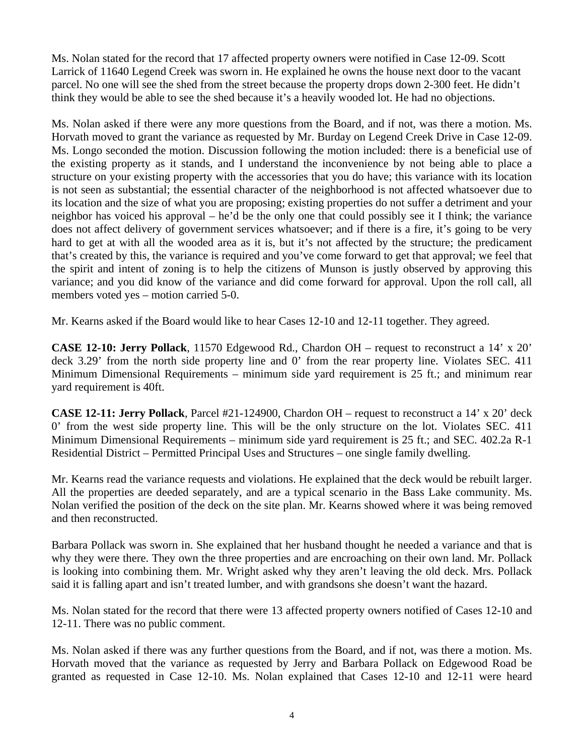Ms. Nolan stated for the record that 17 affected property owners were notified in Case 12-09. Scott Larrick of 11640 Legend Creek was sworn in. He explained he owns the house next door to the vacant parcel. No one will see the shed from the street because the property drops down 2-300 feet. He didn't think they would be able to see the shed because it's a heavily wooded lot. He had no objections.

Ms. Nolan asked if there were any more questions from the Board, and if not, was there a motion. Ms. Horvath moved to grant the variance as requested by Mr. Burday on Legend Creek Drive in Case 12-09. Ms. Longo seconded the motion. Discussion following the motion included: there is a beneficial use of the existing property as it stands, and I understand the inconvenience by not being able to place a structure on your existing property with the accessories that you do have; this variance with its location is not seen as substantial; the essential character of the neighborhood is not affected whatsoever due to its location and the size of what you are proposing; existing properties do not suffer a detriment and your neighbor has voiced his approval – he'd be the only one that could possibly see it I think; the variance does not affect delivery of government services whatsoever; and if there is a fire, it's going to be very hard to get at with all the wooded area as it is, but it's not affected by the structure; the predicament that's created by this, the variance is required and you've come forward to get that approval; we feel that the spirit and intent of zoning is to help the citizens of Munson is justly observed by approving this variance; and you did know of the variance and did come forward for approval. Upon the roll call, all members voted yes – motion carried 5-0.

Mr. Kearns asked if the Board would like to hear Cases 12-10 and 12-11 together. They agreed.

**CASE 12-10: Jerry Pollack**, 11570 Edgewood Rd., Chardon OH – request to reconstruct a 14' x 20' deck 3.29' from the north side property line and 0' from the rear property line. Violates SEC. 411 Minimum Dimensional Requirements – minimum side yard requirement is 25 ft.; and minimum rear yard requirement is 40ft.

**CASE 12-11: Jerry Pollack**, Parcel #21-124900, Chardon OH – request to reconstruct a 14' x 20' deck 0' from the west side property line. This will be the only structure on the lot. Violates SEC. 411 Minimum Dimensional Requirements – minimum side yard requirement is 25 ft.; and SEC. 402.2a R-1 Residential District – Permitted Principal Uses and Structures – one single family dwelling.

Mr. Kearns read the variance requests and violations. He explained that the deck would be rebuilt larger. All the properties are deeded separately, and are a typical scenario in the Bass Lake community. Ms. Nolan verified the position of the deck on the site plan. Mr. Kearns showed where it was being removed and then reconstructed.

Barbara Pollack was sworn in. She explained that her husband thought he needed a variance and that is why they were there. They own the three properties and are encroaching on their own land. Mr. Pollack is looking into combining them. Mr. Wright asked why they aren't leaving the old deck. Mrs. Pollack said it is falling apart and isn't treated lumber, and with grandsons she doesn't want the hazard.

Ms. Nolan stated for the record that there were 13 affected property owners notified of Cases 12-10 and 12-11. There was no public comment.

Ms. Nolan asked if there was any further questions from the Board, and if not, was there a motion. Ms. Horvath moved that the variance as requested by Jerry and Barbara Pollack on Edgewood Road be granted as requested in Case 12-10. Ms. Nolan explained that Cases 12-10 and 12-11 were heard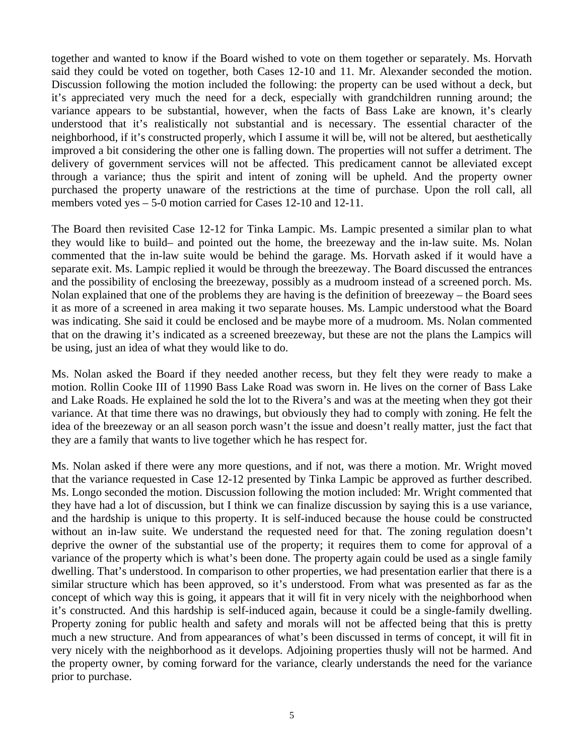together and wanted to know if the Board wished to vote on them together or separately. Ms. Horvath said they could be voted on together, both Cases 12-10 and 11. Mr. Alexander seconded the motion. Discussion following the motion included the following: the property can be used without a deck, but it's appreciated very much the need for a deck, especially with grandchildren running around; the variance appears to be substantial, however, when the facts of Bass Lake are known, it's clearly understood that it's realistically not substantial and is necessary. The essential character of the neighborhood, if it's constructed properly, which I assume it will be, will not be altered, but aesthetically improved a bit considering the other one is falling down. The properties will not suffer a detriment. The delivery of government services will not be affected. This predicament cannot be alleviated except through a variance; thus the spirit and intent of zoning will be upheld. And the property owner purchased the property unaware of the restrictions at the time of purchase. Upon the roll call, all members voted yes – 5-0 motion carried for Cases 12-10 and 12-11.

The Board then revisited Case 12-12 for Tinka Lampic. Ms. Lampic presented a similar plan to what they would like to build– and pointed out the home, the breezeway and the in-law suite. Ms. Nolan commented that the in-law suite would be behind the garage. Ms. Horvath asked if it would have a separate exit. Ms. Lampic replied it would be through the breezeway. The Board discussed the entrances and the possibility of enclosing the breezeway, possibly as a mudroom instead of a screened porch. Ms. Nolan explained that one of the problems they are having is the definition of breezeway – the Board sees it as more of a screened in area making it two separate houses. Ms. Lampic understood what the Board was indicating. She said it could be enclosed and be maybe more of a mudroom. Ms. Nolan commented that on the drawing it's indicated as a screened breezeway, but these are not the plans the Lampics will be using, just an idea of what they would like to do.

Ms. Nolan asked the Board if they needed another recess, but they felt they were ready to make a motion. Rollin Cooke III of 11990 Bass Lake Road was sworn in. He lives on the corner of Bass Lake and Lake Roads. He explained he sold the lot to the Rivera's and was at the meeting when they got their variance. At that time there was no drawings, but obviously they had to comply with zoning. He felt the idea of the breezeway or an all season porch wasn't the issue and doesn't really matter, just the fact that they are a family that wants to live together which he has respect for.

Ms. Nolan asked if there were any more questions, and if not, was there a motion. Mr. Wright moved that the variance requested in Case 12-12 presented by Tinka Lampic be approved as further described. Ms. Longo seconded the motion. Discussion following the motion included: Mr. Wright commented that they have had a lot of discussion, but I think we can finalize discussion by saying this is a use variance, and the hardship is unique to this property. It is self-induced because the house could be constructed without an in-law suite. We understand the requested need for that. The zoning regulation doesn't deprive the owner of the substantial use of the property; it requires them to come for approval of a variance of the property which is what's been done. The property again could be used as a single family dwelling. That's understood. In comparison to other properties, we had presentation earlier that there is a similar structure which has been approved, so it's understood. From what was presented as far as the concept of which way this is going, it appears that it will fit in very nicely with the neighborhood when it's constructed. And this hardship is self-induced again, because it could be a single-family dwelling. Property zoning for public health and safety and morals will not be affected being that this is pretty much a new structure. And from appearances of what's been discussed in terms of concept, it will fit in very nicely with the neighborhood as it develops. Adjoining properties thusly will not be harmed. And the property owner, by coming forward for the variance, clearly understands the need for the variance prior to purchase.